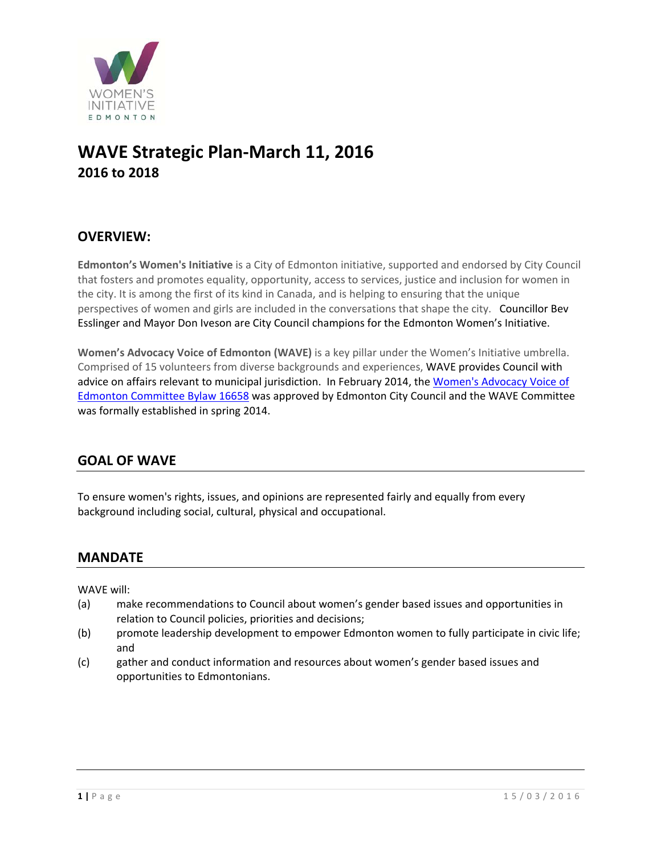

# **WAVE Strategic Plan‐March 11, 2016 2016 to 2018**

# **OVERVIEW:**

**Edmonton's Women's Initiative** is a City of Edmonton initiative, supported and endorsed by City Council that fosters and promotes equality, opportunity, access to services, justice and inclusion for women in the city. It is among the first of its kind in Canada, and is helping to ensuring that the unique perspectives of women and girls are included in the conversations that shape the city. Councillor Bev Esslinger and Mayor Don Iveson are City Council champions for the Edmonton Women's Initiative.

**Women's Advocacy Voice of Edmonton (WAVE)** is a key pillar under the Women's Initiative umbrella. Comprised of 15 volunteers from diverse backgrounds and experiences, WAVE provides Council with advice on affairs relevant to municipal jurisdiction. In February 2014, the Women's Advocacy Voice of Edmonton Committee Bylaw 16658 was approved by Edmonton City Council and the WAVE Committee was formally established in spring 2014.

# **GOAL OF WAVE**

To ensure women's rights, issues, and opinions are represented fairly and equally from every background including social, cultural, physical and occupational.

## **MANDATE**

WAVE will:

- (a) make recommendations to Council about women's gender based issues and opportunities in relation to Council policies, priorities and decisions;
- (b) promote leadership development to empower Edmonton women to fully participate in civic life; and
- (c) gather and conduct information and resources about women's gender based issues and opportunities to Edmontonians.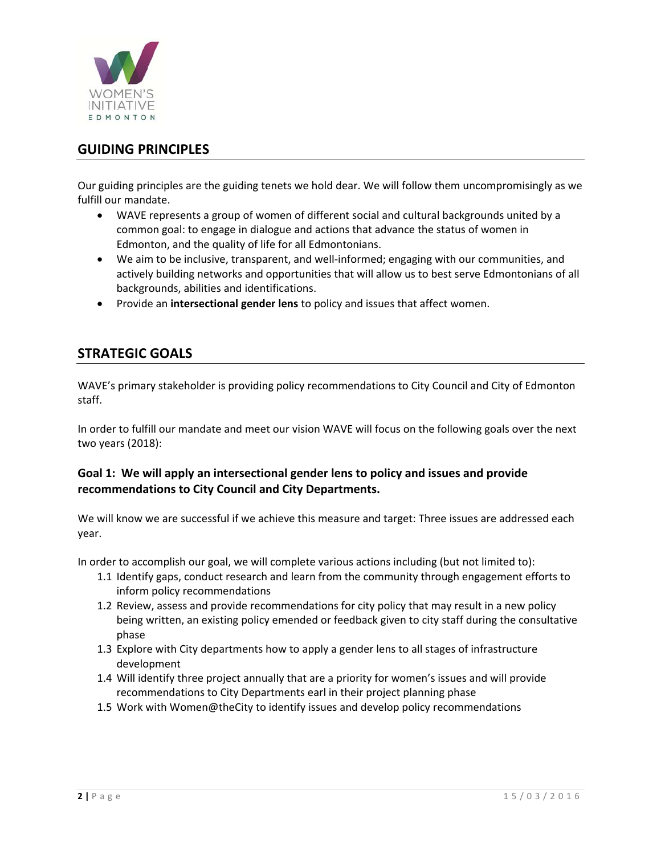

# **GUIDING PRINCIPLES**

Our guiding principles are the guiding tenets we hold dear. We will follow them uncompromisingly as we fulfill our mandate.

- WAVE represents a group of women of different social and cultural backgrounds united by a common goal: to engage in dialogue and actions that advance the status of women in Edmonton, and the quality of life for all Edmontonians.
- We aim to be inclusive, transparent, and well-informed; engaging with our communities, and actively building networks and opportunities that will allow us to best serve Edmontonians of all backgrounds, abilities and identifications.
- Provide an **intersectional gender lens** to policy and issues that affect women.

# **STRATEGIC GOALS**

WAVE's primary stakeholder is providing policy recommendations to City Council and City of Edmonton staff.

In order to fulfill our mandate and meet our vision WAVE will focus on the following goals over the next two years (2018):

#### **Goal 1: We will apply an intersectional gender lens to policy and issues and provide recommendations to City Council and City Departments.**

We will know we are successful if we achieve this measure and target: Three issues are addressed each year.

In order to accomplish our goal, we will complete various actions including (but not limited to):

- 1.1 Identify gaps, conduct research and learn from the community through engagement efforts to inform policy recommendations
- 1.2 Review, assess and provide recommendations for city policy that may result in a new policy being written, an existing policy emended or feedback given to city staff during the consultative phase
- 1.3 Explore with City departments how to apply a gender lens to all stages of infrastructure development
- 1.4 Will identify three project annually that are a priority for women's issues and will provide recommendations to City Departments earl in their project planning phase
- 1.5 Work with Women@theCity to identify issues and develop policy recommendations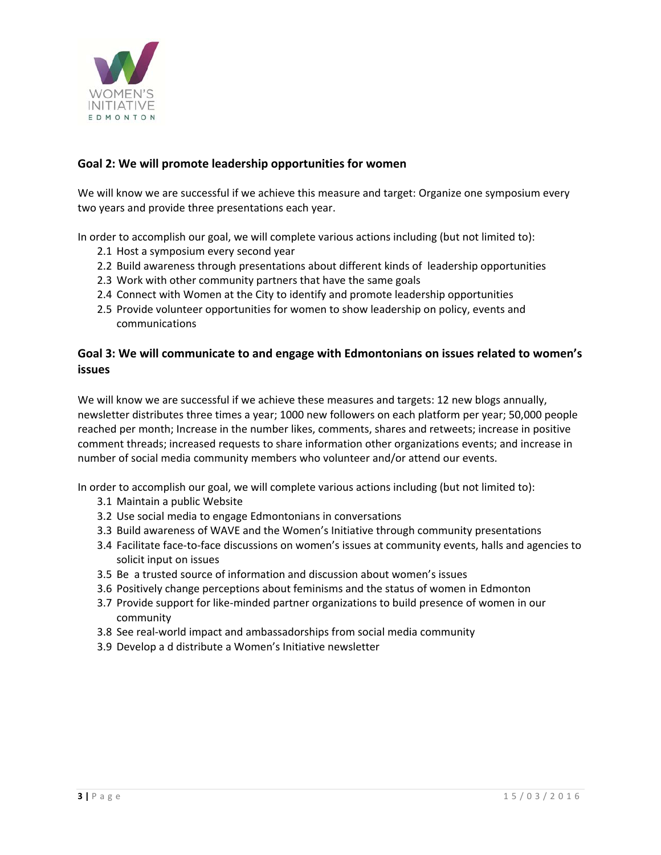

#### **Goal 2: We will promote leadership opportunities for women**

We will know we are successful if we achieve this measure and target: Organize one symposium every two years and provide three presentations each year.

In order to accomplish our goal, we will complete various actions including (but not limited to):

- 2.1 Host a symposium every second year
- 2.2 Build awareness through presentations about different kinds of leadership opportunities
- 2.3 Work with other community partners that have the same goals
- 2.4 Connect with Women at the City to identify and promote leadership opportunities
- 2.5 Provide volunteer opportunities for women to show leadership on policy, events and communications

#### **Goal 3: We will communicate to and engage with Edmontonians on issues related to women's issues**

We will know we are successful if we achieve these measures and targets: 12 new blogs annually, newsletter distributes three times a year; 1000 new followers on each platform per year; 50,000 people reached per month; Increase in the number likes, comments, shares and retweets; increase in positive comment threads; increased requests to share information other organizations events; and increase in number of social media community members who volunteer and/or attend our events.

In order to accomplish our goal, we will complete various actions including (but not limited to):

- 3.1 Maintain a public Website
- 3.2 Use social media to engage Edmontonians in conversations
- 3.3 Build awareness of WAVE and the Women's Initiative through community presentations
- 3.4 Facilitate face‐to‐face discussions on women's issues at community events, halls and agencies to solicit input on issues
- 3.5 Be a trusted source of information and discussion about women's issues
- 3.6 Positively change perceptions about feminisms and the status of women in Edmonton
- 3.7 Provide support for like‐minded partner organizations to build presence of women in our community
- 3.8 See real‐world impact and ambassadorships from social media community
- 3.9 Develop a d distribute a Women's Initiative newsletter